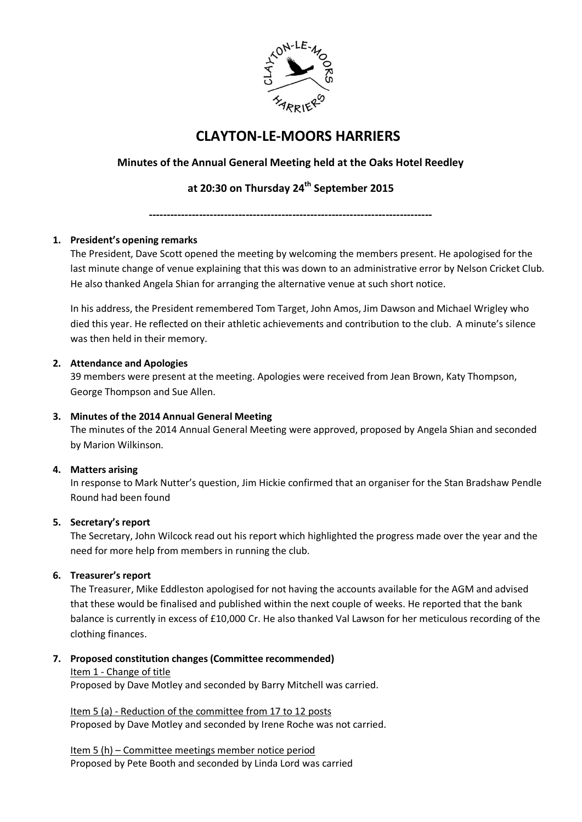

# **CLAYTON-LE-MOORS HARRIERS**

# **Minutes of the Annual General Meeting held at the Oaks Hotel Reedley**

# **at 20:30 on Thursday 24th September 2015**

**-------------------------------------------------------------------------------**

# **1. President's opening remarks**

The President, Dave Scott opened the meeting by welcoming the members present. He apologised for the last minute change of venue explaining that this was down to an administrative error by Nelson Cricket Club. He also thanked Angela Shian for arranging the alternative venue at such short notice.

In his address, the President remembered Tom Target, John Amos, Jim Dawson and Michael Wrigley who died this year. He reflected on their athletic achievements and contribution to the club. A minute's silence was then held in their memory.

## **2. Attendance and Apologies**

39 members were present at the meeting. Apologies were received from Jean Brown, Katy Thompson, George Thompson and Sue Allen.

## **3. Minutes of the 2014 Annual General Meeting**

The minutes of the 2014 Annual General Meeting were approved, proposed by Angela Shian and seconded by Marion Wilkinson.

# **4. Matters arising**

In response to Mark Nutter's question, Jim Hickie confirmed that an organiser for the Stan Bradshaw Pendle Round had been found

## **5. Secretary's report**

The Secretary, John Wilcock read out his report which highlighted the progress made over the year and the need for more help from members in running the club.

# **6. Treasurer's report**

The Treasurer, Mike Eddleston apologised for not having the accounts available for the AGM and advised that these would be finalised and published within the next couple of weeks. He reported that the bank balance is currently in excess of £10,000 Cr. He also thanked Val Lawson for her meticulous recording of the clothing finances.

## **7. Proposed constitution changes (Committee recommended)**

## Item 1 - Change of title

Proposed by Dave Motley and seconded by Barry Mitchell was carried.

Item 5 (a) - Reduction of the committee from 17 to 12 posts Proposed by Dave Motley and seconded by Irene Roche was not carried.

Item 5 (h) – Committee meetings member notice period Proposed by Pete Booth and seconded by Linda Lord was carried